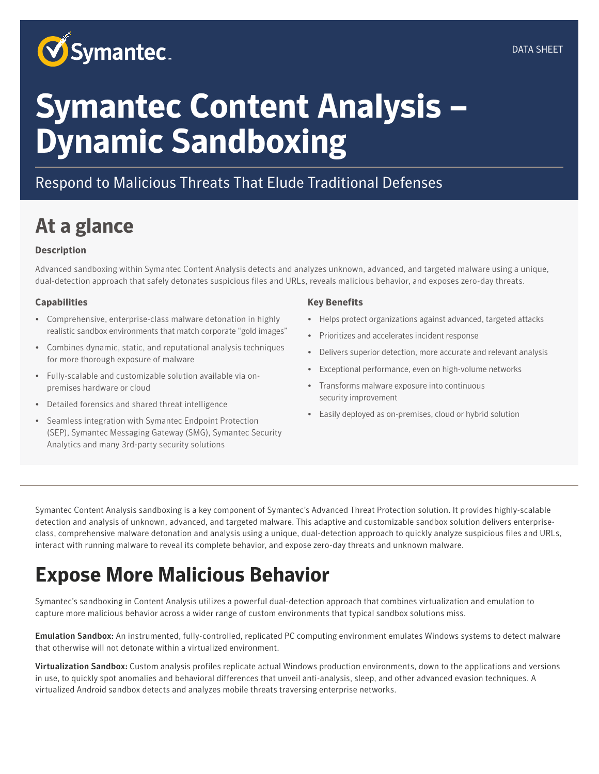

# **Symantec Content Analysis – Dynamic Sandboxing**

#### Respond to Malicious Threats That Elude Traditional Defenses

## **At a glance**

#### **Description**

Advanced sandboxing within Symantec Content Analysis detects and analyzes unknown, advanced, and targeted malware using a unique, dual-detection approach that safely detonates suspicious files and URLs, reveals malicious behavior, and exposes zero-day threats.

#### **Capabilities**

- Comprehensive, enterprise-class malware detonation in highly realistic sandbox environments that match corporate "gold images"
- Combines dynamic, static, and reputational analysis techniques for more thorough exposure of malware
- Fully-scalable and customizable solution available via onpremises hardware or cloud
- Detailed forensics and shared threat intelligence
- Seamless integration with Symantec Endpoint Protection (SEP), Symantec Messaging Gateway (SMG), Symantec Security Analytics and many 3rd-party security solutions

#### **Key Benefits**

- Helps protect organizations against advanced, targeted attacks
- Prioritizes and accelerates incident response
- Delivers superior detection, more accurate and relevant analysis
- Exceptional performance, even on high-volume networks
- Transforms malware exposure into continuous security improvement
- Easily deployed as on-premises, cloud or hybrid solution

Symantec Content Analysis sandboxing is a key component of Symantec's Advanced Threat Protection solution. It provides highly-scalable detection and analysis of unknown, advanced, and targeted malware. This adaptive and customizable sandbox solution delivers enterpriseclass, comprehensive malware detonation and analysis using a unique, dual-detection approach to quickly analyze suspicious files and URLs, interact with running malware to reveal its complete behavior, and expose zero-day threats and unknown malware.

### **Expose More Malicious Behavior**

Symantec's sandboxing in Content Analysis utilizes a powerful dual-detection approach that combines virtualization and emulation to capture more malicious behavior across a wider range of custom environments that typical sandbox solutions miss.

Emulation Sandbox: An instrumented, fully-controlled, replicated PC computing environment emulates Windows systems to detect malware that otherwise will not detonate within a virtualized environment.

Virtualization Sandbox: Custom analysis profiles replicate actual Windows production environments, down to the applications and versions in use, to quickly spot anomalies and behavioral differences that unveil anti-analysis, sleep, and other advanced evasion techniques. A virtualized Android sandbox detects and analyzes mobile threats traversing enterprise networks.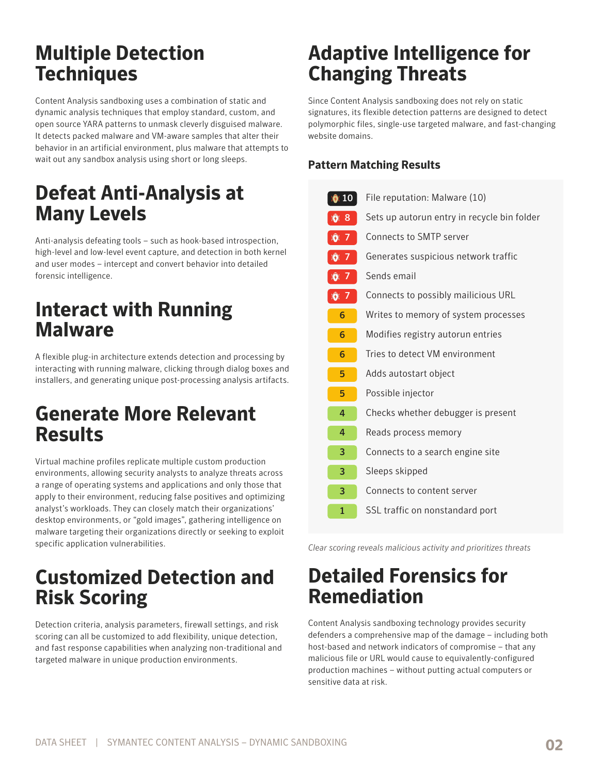#### **Multiple Detection Techniques**

Content Analysis sandboxing uses a combination of static and dynamic analysis techniques that employ standard, custom, and open source YARA patterns to unmask cleverly disguised malware. It detects packed malware and VM-aware samples that alter their behavior in an artificial environment, plus malware that attempts to wait out any sandbox analysis using short or long sleeps.

#### **Defeat Anti-Analysis at Many Levels**

Anti-analysis defeating tools – such as hook-based introspection, high-level and low-level event capture, and detection in both kernel and user modes – intercept and convert behavior into detailed forensic intelligence.

### **Interact with Running Malware**

A flexible plug-in architecture extends detection and processing by interacting with running malware, clicking through dialog boxes and installers, and generating unique post-processing analysis artifacts.

#### **Generate More Relevant Results**

Virtual machine profiles replicate multiple custom production environments, allowing security analysts to analyze threats across a range of operating systems and applications and only those that apply to their environment, reducing false positives and optimizing analyst's workloads. They can closely match their organizations' desktop environments, or "gold images", gathering intelligence on malware targeting their organizations directly or seeking to exploit specific application vulnerabilities.

### **Customized Detection and Risk Scoring**

Detection criteria, analysis parameters, firewall settings, and risk scoring can all be customized to add flexibility, unique detection, and fast response capabilities when analyzing non-traditional and targeted malware in unique production environments.

### **Adaptive Intelligence for Changing Threats**

Since Content Analysis sandboxing does not rely on static signatures, its flexible detection patterns are designed to detect polymorphic files, single-use targeted malware, and fast-changing website domains.

#### **Pattern Matching Results**

| File reputation: Malware (10)               |
|---------------------------------------------|
| Sets up autorun entry in recycle bin folder |
| <b>Connects to SMTP server</b>              |
| Generates suspicious network traffic        |
| Sends email                                 |
| Connects to possibly mailicious URL         |
| Writes to memory of system processes        |
| Modifies registry autorun entries           |
| Tries to detect VM environment              |
| Adds autostart object                       |
| Possible injector                           |
| Checks whether debugger is present          |
| Reads process memory                        |
| Connects to a search engine site            |
| Sleeps skipped                              |
| Connects to content server                  |
| SSL traffic on nonstandard port             |
|                                             |

*Clear scoring reveals malicious activity and prioritizes threats*

### **Detailed Forensics for Remediation**

Content Analysis sandboxing technology provides security defenders a comprehensive map of the damage – including both host-based and network indicators of compromise – that any malicious file or URL would cause to equivalently-configured production machines – without putting actual computers or sensitive data at risk.